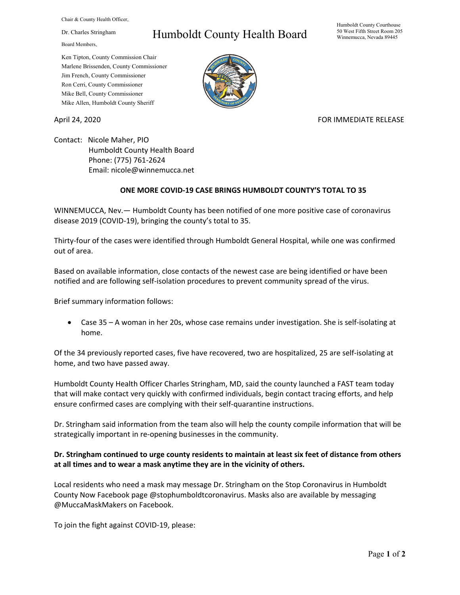Chair & County Health Officer,

Dr. Charles Stringham

Board Members,

## Humboldt County Health Board

Humboldt County Courthouse 50 West Fifth Street Room 205 Winnemucca, Nevada 89445

Ken Tipton, County Commission Chair Marlene Brissenden, County Commissioner Jim French, County Commissioner Ron Cerri, County Commissioner Mike Bell, County Commissioner Mike Allen, Humboldt County Sheriff

April 24, 2020 **FOR IMMEDIATE RELEASE** 

Contact: Nicole Maher, PIO Humboldt County Health Board Phone: (775) 761-2624 Email: nicole@winnemucca.net

## **ONE MORE COVID-19 CASE BRINGS HUMBOLDT COUNTY'S TOTAL TO 35**

WINNEMUCCA, Nev.— Humboldt County has been notified of one more positive case of coronavirus disease 2019 (COVID-19), bringing the county's total to 35.

Thirty-four of the cases were identified through Humboldt General Hospital, while one was confirmed out of area.

Based on available information, close contacts of the newest case are being identified or have been notified and are following self-isolation procedures to prevent community spread of the virus.

Brief summary information follows:

• Case 35 – A woman in her 20s, whose case remains under investigation. She is self-isolating at home.

Of the 34 previously reported cases, five have recovered, two are hospitalized, 25 are self-isolating at home, and two have passed away.

Humboldt County Health Officer Charles Stringham, MD, said the county launched a FAST team today that will make contact very quickly with confirmed individuals, begin contact tracing efforts, and help ensure confirmed cases are complying with their self-quarantine instructions.

Dr. Stringham said information from the team also will help the county compile information that will be strategically important in re-opening businesses in the community.

## **Dr. Stringham continued to urge county residents to maintain at least six feet of distance from others at all times and to wear a mask anytime they are in the vicinity of others.**

Local residents who need a mask may message Dr. Stringham on the Stop Coronavirus in Humboldt County Now Facebook page @stophumboldtcoronavirus. Masks also are available by messaging @MuccaMaskMakers on Facebook.

To join the fight against COVID-19, please: